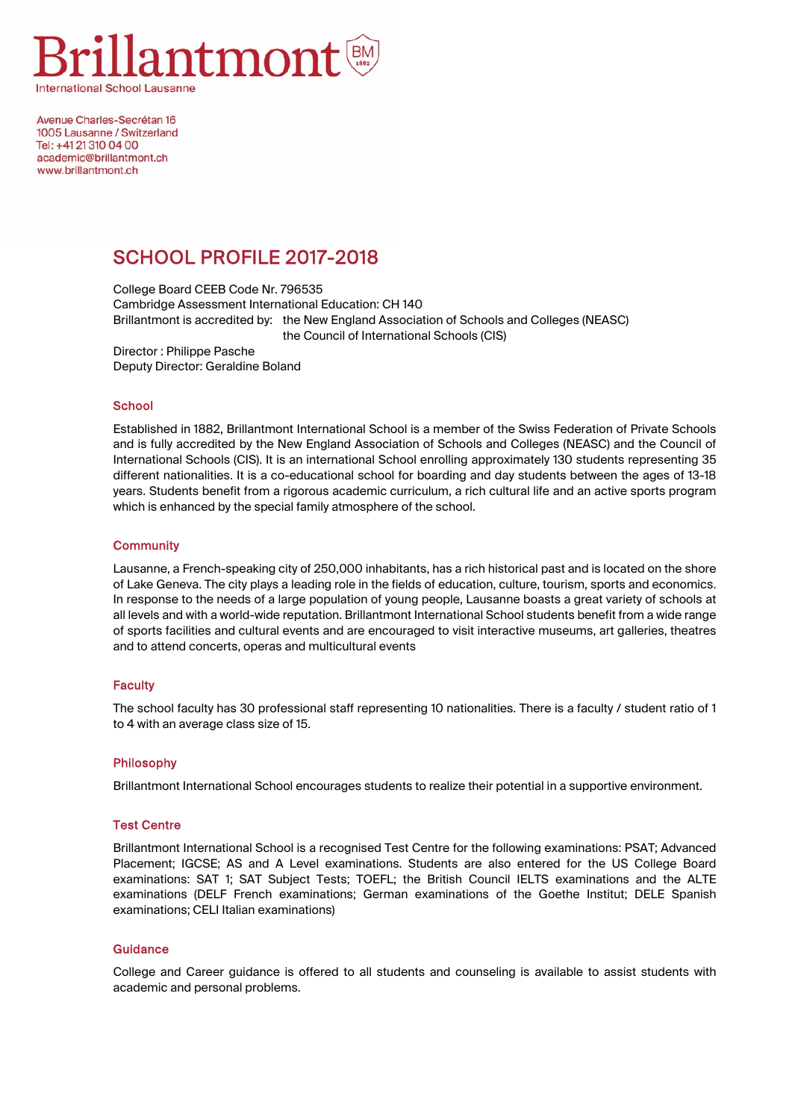

Avenue Charles-Secrétan 16 1005 Lausanne / Switzerland Tel: +41 21 310 04 00 academic@hrillantmont.ch www.brillantmont.ch

# SCHOOL PROFILE 2017-2018

College Board CEEB Code Nr. 796535 Cambridge Assessment International Education: CH 140 Brillantmont is accredited by: the New England Association of Schools and Colleges (NEASC) the Council of International Schools (CIS)

Director : Philippe Pasche Deputy Director: Geraldine Boland

## **School**

Established in 1882, Brillantmont International School is a member of the Swiss Federation of Private Schools and is fully accredited by the New England Association of Schools and Colleges (NEASC) and the Council of International Schools (CIS). It is an international School enrolling approximately 130 students representing 35 different nationalities. It is a co-educational school for boarding and day students between the ages of 13-18 years. Students benefit from a rigorous academic curriculum, a rich cultural life and an active sports program which is enhanced by the special family atmosphere of the school.

## **Community**

Lausanne, a French-speaking city of 250,000 inhabitants, has a rich historical past and is located on the shore of Lake Geneva. The city plays a leading role in the fields of education, culture, tourism, sports and economics. In response to the needs of a large population of young people, Lausanne boasts a great variety of schools at all levels and with a world-wide reputation. Brillantmont International School students benefit from a wide range of sports facilities and cultural events and are encouraged to visit interactive museums, art galleries, theatres and to attend concerts, operas and multicultural events

#### **Faculty**

The school faculty has 30 professional staff representing 10 nationalities. There is a faculty / student ratio of 1 to 4 with an average class size of 15.

## Philosophy

Brillantmont International School encourages students to realize their potential in a supportive environment.

#### Test Centre

Brillantmont International School is a recognised Test Centre for the following examinations: PSAT; Advanced Placement; IGCSE; AS and A Level examinations. Students are also entered for the US College Board examinations: SAT 1; SAT Subject Tests; TOEFL; the British Council IELTS examinations and the ALTE examinations (DELF French examinations; German examinations of the Goethe Institut; DELE Spanish examinations; CELI Italian examinations)

#### **Guidance**

College and Career guidance is offered to all students and counseling is available to assist students with academic and personal problems.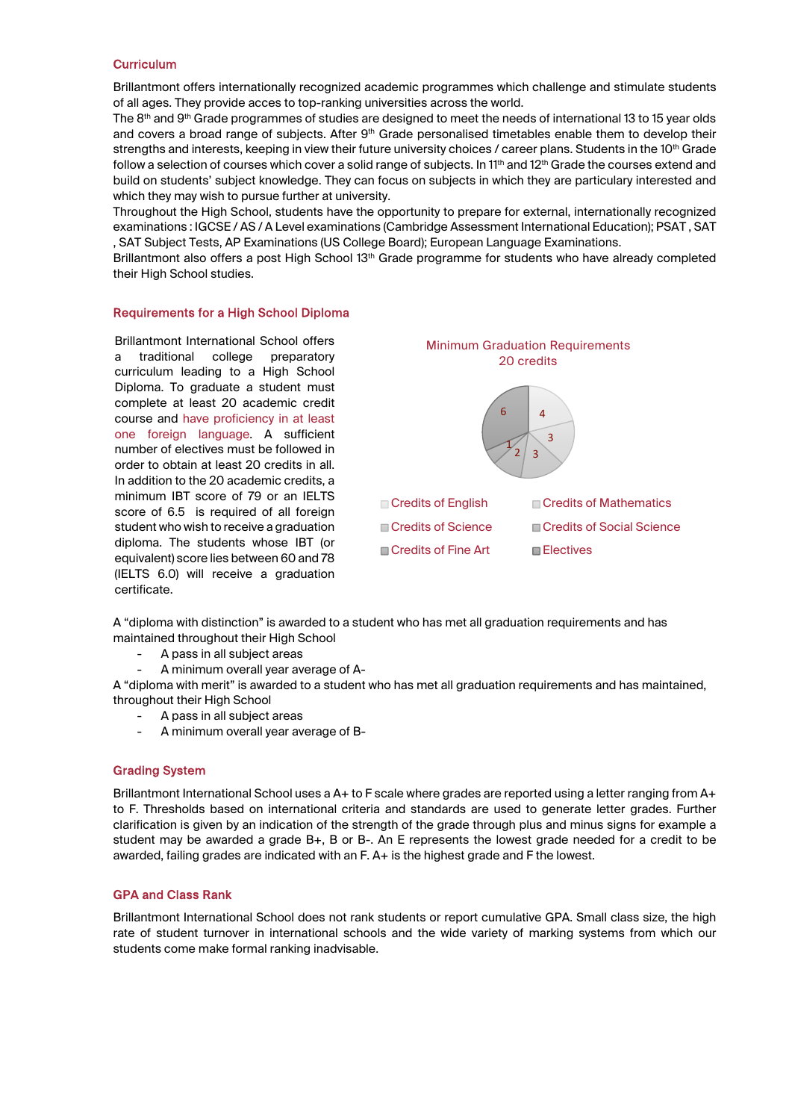## **Curriculum**

Brillantmont offers internationally recognized academic programmes which challenge and stimulate students of all ages. They provide acces to top-ranking universities across the world.

The 8<sup>th</sup> and 9<sup>th</sup> Grade programmes of studies are designed to meet the needs of international 13 to 15 year olds and covers a broad range of subjects. After  $9<sup>th</sup>$  Grade personalised timetables enable them to develop their strengths and interests, keeping in view their future university choices / career plans. Students in the 10<sup>th</sup> Grade follow a selection of courses which cover a solid range of subjects. In 11<sup>th</sup> and 12<sup>th</sup> Grade the courses extend and build on students' subject knowledge. They can focus on subjects in which they are particulary interested and which they may wish to pursue further at university.

Throughout the High School, students have the opportunity to prepare for external, internationally recognized examinations : IGCSE / AS / A Level examinations (Cambridge Assessment International Education); PSAT , SAT , SAT Subject Tests, AP Examinations (US College Board); European Language Examinations.

Brillantmont also offers a post High School 13<sup>th</sup> Grade programme for students who have already completed their High School studies.

## Requirements for a High School Diploma

Brillantmont International School offers a traditional college preparatory curriculum leading to a High School Diploma. To graduate a student must complete at least 20 academic credit course and have proficiency in at least one foreign language. A sufficient number of electives must be followed in order to obtain at least 20 credits in all. In addition to the 20 academic credits, a minimum IBT score of 79 or an IELTS score of 6.5 is required of all foreign student who wish to receive a graduation diploma. The students whose IBT (or equivalent) score lies between 60 and 78 (IELTS 6.0) will receive a graduation certificate.



A "diploma with distinction" is awarded to a student who has met all graduation requirements and has maintained throughout their High School

- A pass in all subject areas
- A minimum overall year average of A-

A "diploma with merit" is awarded to a student who has met all graduation requirements and has maintained, throughout their High School

- A pass in all subject areas
- A minimum overall year average of B-

#### Grading System

Brillantmont International School uses a A+ to F scale where grades are reported using a letter ranging from A+ to F. Thresholds based on international criteria and standards are used to generate letter grades. Further clarification is given by an indication of the strength of the grade through plus and minus signs for example a student may be awarded a grade B+, B or B-. An E represents the lowest grade needed for a credit to be awarded, failing grades are indicated with an F. A+ is the highest grade and F the lowest.

#### GPA and Class Rank

Brillantmont International School does not rank students or report cumulative GPA. Small class size, the high rate of student turnover in international schools and the wide variety of marking systems from which our students come make formal ranking inadvisable.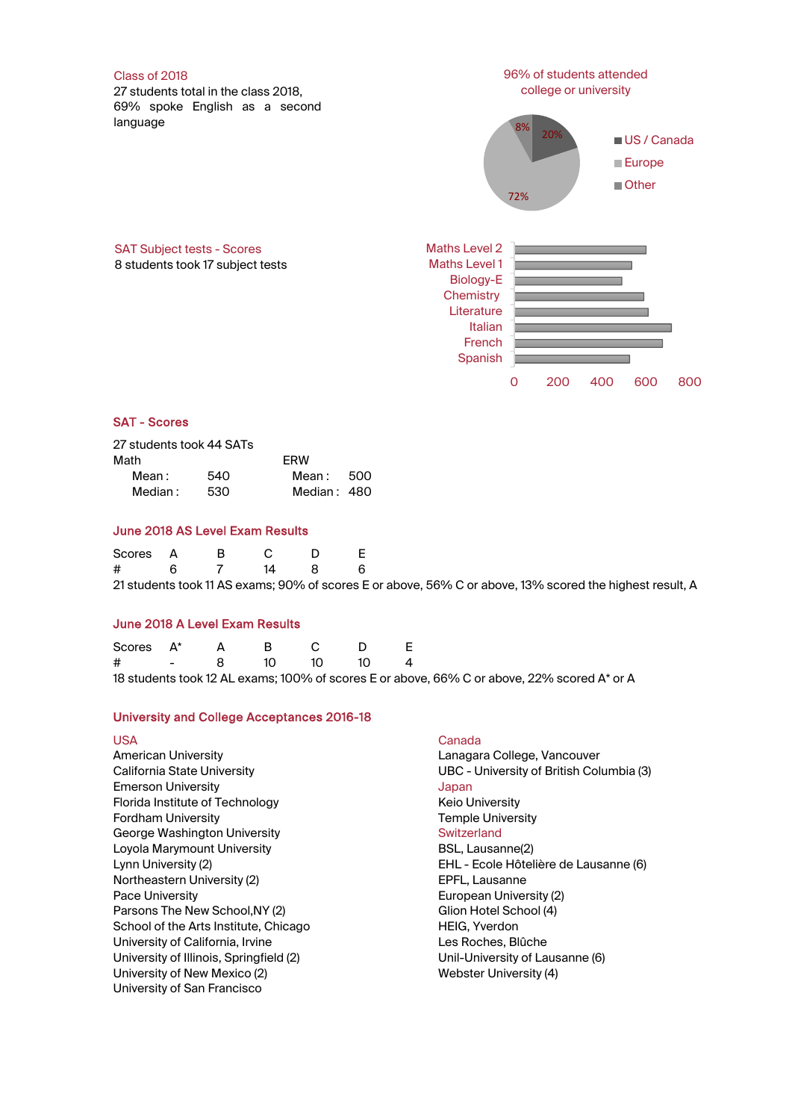

# SAT - Scores

| 27 students took 44 SATs |     |             |      |
|--------------------------|-----|-------------|------|
| Math                     |     | <b>FRW</b>  |      |
| Mean:                    | 540 | Mean :      | -500 |
| Median:                  | 530 | Median: 480 |      |

## June 2018 AS Level Exam Results

| Scores A B C D |  |  |                                                                                                          |
|----------------|--|--|----------------------------------------------------------------------------------------------------------|
| # 6 7 14 8 6   |  |  |                                                                                                          |
|                |  |  | 21 students took 11 AS exams; 90% of scores E or above, 56% C or above, 13% scored the highest result, A |

#### June 2018 A Level Exam Results

| Scores $A^*$ A B C D E |  |  |                                                                                             |
|------------------------|--|--|---------------------------------------------------------------------------------------------|
| # - 8 10 10 10 4       |  |  |                                                                                             |
|                        |  |  | 18 students took 12 AL exams: 100% of scores E or above. 66% C or above. 22% scored A* or A |

# University and College Acceptances 2016-18

| <b>USA</b><br><b>American University</b><br>California State University<br><b>Emerson University</b><br>Florida Institute of Technology<br><b>Fordham University</b><br>George Washington University<br>Loyola Marymount University<br>Lynn University (2)<br>Northeastern University (2)<br><b>Pace University</b> | Canada<br>Lanagara College, Vancouver<br>UBC - University of British Columbia (3)<br>Japan<br><b>Keio University</b><br><b>Temple University</b><br>Switzerland<br>BSL, Lausanne(2)<br>EHL - Ecole Hôtelière de Lausanne (6)<br>EPFL, Lausanne<br>European University (2) |
|---------------------------------------------------------------------------------------------------------------------------------------------------------------------------------------------------------------------------------------------------------------------------------------------------------------------|---------------------------------------------------------------------------------------------------------------------------------------------------------------------------------------------------------------------------------------------------------------------------|
|                                                                                                                                                                                                                                                                                                                     |                                                                                                                                                                                                                                                                           |
|                                                                                                                                                                                                                                                                                                                     |                                                                                                                                                                                                                                                                           |
|                                                                                                                                                                                                                                                                                                                     |                                                                                                                                                                                                                                                                           |
|                                                                                                                                                                                                                                                                                                                     |                                                                                                                                                                                                                                                                           |
|                                                                                                                                                                                                                                                                                                                     |                                                                                                                                                                                                                                                                           |
| Parsons The New School, NY (2)                                                                                                                                                                                                                                                                                      | Glion Hotel School (4)                                                                                                                                                                                                                                                    |
| School of the Arts Institute, Chicago                                                                                                                                                                                                                                                                               | <b>HEIG, Yverdon</b>                                                                                                                                                                                                                                                      |
| University of California, Irvine                                                                                                                                                                                                                                                                                    | Les Roches, Blûche                                                                                                                                                                                                                                                        |
| University of Illinois, Springfield (2)                                                                                                                                                                                                                                                                             | Unil-University of Lausanne (6)                                                                                                                                                                                                                                           |
| University of New Mexico (2)                                                                                                                                                                                                                                                                                        | Webster University (4)                                                                                                                                                                                                                                                    |
| University of San Francisco                                                                                                                                                                                                                                                                                         |                                                                                                                                                                                                                                                                           |